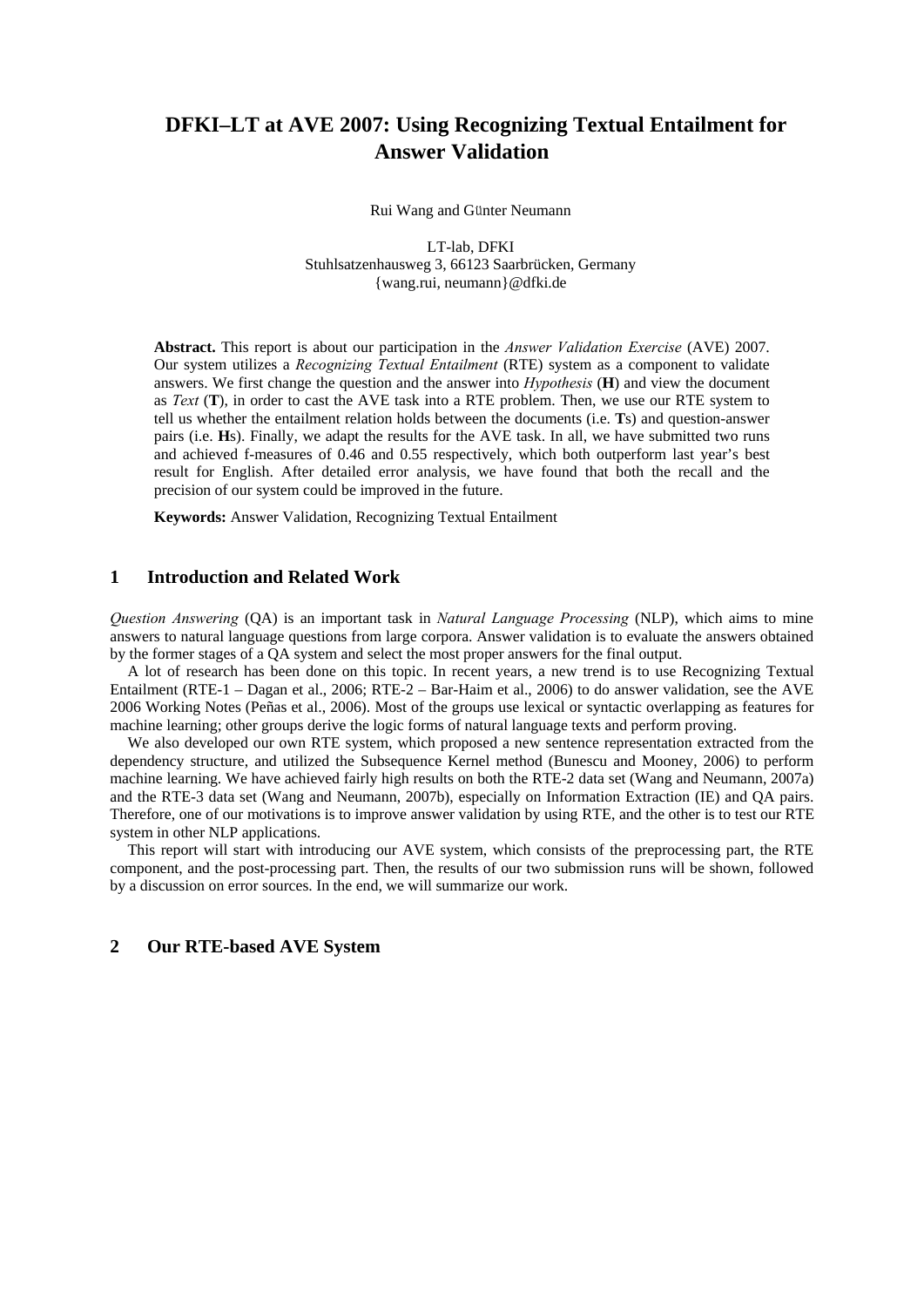# **DFKI–LT at AVE 2007: Using Recognizing Textual Entailment for Answer Validation**

Rui Wang and Günter Neumann

LT-lab, DFKI Stuhlsatzenhausweg 3, 66123 Saarbrücken, Germany {wang.rui, neumann}@dfki.de

**Abstract.** This report is about our participation in the *Answer Validation Exercise* (AVE) 2007. Our system utilizes a *Recognizing Textual Entailment* (RTE) system as a component to validate answers. We first change the question and the answer into *Hypothesis* (**H**) and view the document as *Text* (**T**), in order to cast the AVE task into a RTE problem. Then, we use our RTE system to tell us whether the entailment relation holds between the documents (i.e. **T**s) and question-answer pairs (i.e. **H**s). Finally, we adapt the results for the AVE task. In all, we have submitted two runs and achieved f-measures of 0.46 and 0.55 respectively, which both outperform last year's best result for English. After detailed error analysis, we have found that both the recall and the precision of our system could be improved in the future.

**Keywords:** Answer Validation, Recognizing Textual Entailment

# **1 Introduction and Related Work**

*Question Answering* (QA) is an important task in *Natural Language Processing* (NLP), which aims to mine answers to natural language questions from large corpora. Answer validation is to evaluate the answers obtained by the former stages of a QA system and select the most proper answers for the final output.

A lot of research has been done on this topic. In recent years, a new trend is to use Recognizing Textual Entailment (RTE-1 – Dagan et al., 2006; RTE-2 – Bar-Haim et al., 2006) to do answer validation, see the AVE 2006 Working Notes (Peñas et al., 2006). Most of the groups use lexical or syntactic overlapping as features for machine learning; other groups derive the logic forms of natural language texts and perform proving.

We also developed our own RTE system, which proposed a new sentence representation extracted from the dependency structure, and utilized the Subsequence Kernel method (Bunescu and Mooney, 2006) to perform machine learning. We have achieved fairly high results on both the RTE-2 data set (Wang and Neumann, 2007a) and the RTE-3 data set (Wang and Neumann, 2007b), especially on Information Extraction (IE) and QA pairs. Therefore, one of our motivations is to improve answer validation by using RTE, and the other is to test our RTE system in other NLP applications.

This report will start with introducing our AVE system, which consists of the preprocessing part, the RTE component, and the post-processing part. Then, the results of our two submission runs will be shown, followed by a discussion on error sources. In the end, we will summarize our work.

## **2 Our RTE-based AVE System**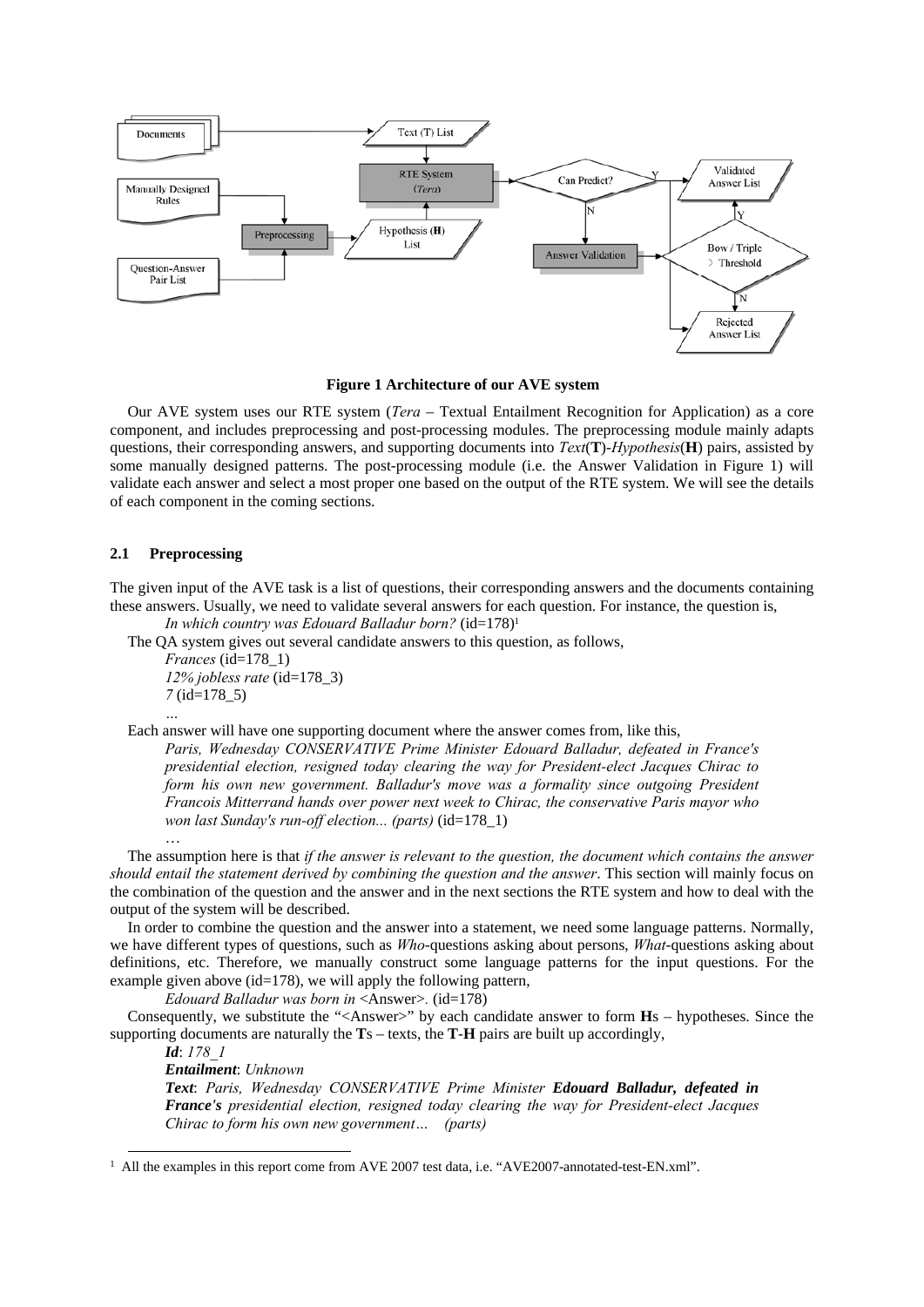

**Figure 1 Architecture of our AVE system** 

Our AVE system uses our RTE system (*Tera* – Textual Entailment Recognition for Application) as a core component, and includes preprocessing and post-processing modules. The preprocessing module mainly adapts questions, their corresponding answers, and supporting documents into *Text*(**T**)-*Hypothesis*(**H**) pairs, assisted by some manually designed patterns. The post-processing module (i.e. the Answer Validation in Figure 1) will validate each answer and select a most proper one based on the output of the RTE system. We will see the details of each component in the coming sections.

#### **2.1 Preprocessing**

…

The given input of the AVE task is a list of questions, their corresponding answers and the documents containing these answers. Usually, we need to validate several answers for each question. For instance, the question is,

*In which country was Edouard Balladur born?* (id=178)1

The QA system gives out several candidate answers to this question, as follows,

*Frances* (id=178\_1) *12% jobless rate* (id=178\_3) *7* (id=178\_5) *…*

Each answer will have one supporting document where the answer comes from, like this,

*Paris, Wednesday CONSERVATIVE Prime Minister Edouard Balladur, defeated in France's presidential election, resigned today clearing the way for President-elect Jacques Chirac to form his own new government. Balladur's move was a formality since outgoing President Francois Mitterrand hands over power next week to Chirac, the conservative Paris mayor who won last Sunday's run-off election... (parts)* (id=178\_1)

The assumption here is that *if the answer is relevant to the question, the document which contains the answer should entail the statement derived by combining the question and the answer*. This section will mainly focus on the combination of the question and the answer and in the next sections the RTE system and how to deal with the output of the system will be described.

In order to combine the question and the answer into a statement, we need some language patterns. Normally, we have different types of questions, such as *Who*-questions asking about persons, *What*-questions asking about definitions, etc. Therefore, we manually construct some language patterns for the input questions. For the example given above ( $id=178$ ), we will apply the following pattern,

*Edouard Balladur was born in* <Answer>*.* (id=178)

Consequently, we substitute the "<Answer>" by each candidate answer to form **H**s – hypotheses. Since the supporting documents are naturally the **T**s – texts, the **T**-**H** pairs are built up accordingly,

*Id*: *178\_1* 

*Entailment*: *Unknown*

*Text*: *Paris, Wednesday CONSERVATIVE Prime Minister Edouard Balladur, defeated in France's presidential election, resigned today clearing the way for President-elect Jacques Chirac to form his own new government… (parts)*

<sup>&</sup>lt;sup>1</sup> All the examples in this report come from AVE 2007 test data, i.e. "AVE2007-annotated-test-EN.xml".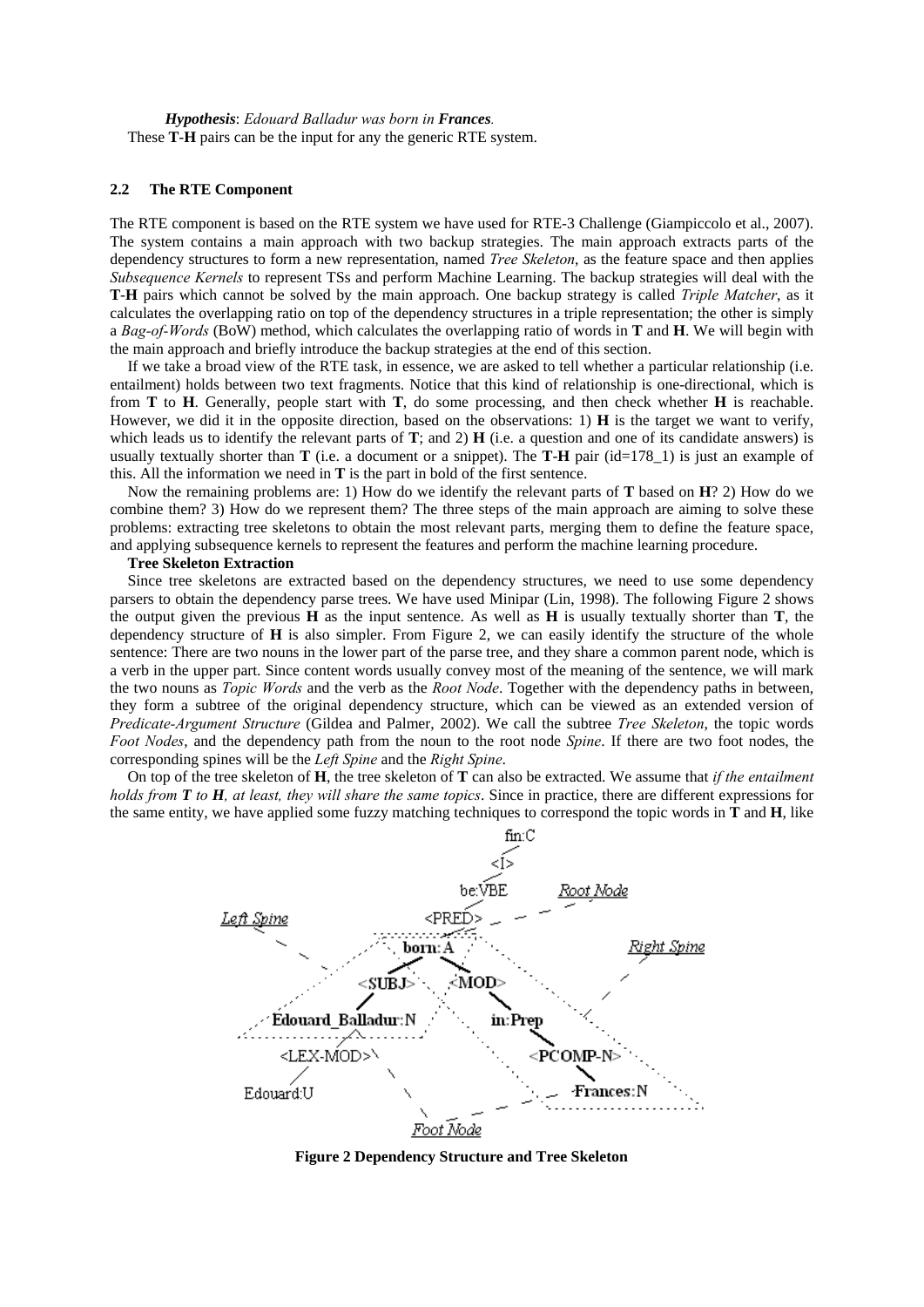*Hypothesis*: *Edouard Balladur was born in Frances.* These **T**-**H** pairs can be the input for any the generic RTE system.

#### **2.2 The RTE Component**

The RTE component is based on the RTE system we have used for RTE-3 Challenge (Giampiccolo et al., 2007). The system contains a main approach with two backup strategies. The main approach extracts parts of the dependency structures to form a new representation, named *Tree Skeleton*, as the feature space and then applies *Subsequence Kernels* to represent TSs and perform Machine Learning. The backup strategies will deal with the **T**-**H** pairs which cannot be solved by the main approach. One backup strategy is called *Triple Matcher*, as it calculates the overlapping ratio on top of the dependency structures in a triple representation; the other is simply a *Bag-of-Words* (BoW) method, which calculates the overlapping ratio of words in **T** and **H**. We will begin with the main approach and briefly introduce the backup strategies at the end of this section.

If we take a broad view of the RTE task, in essence, we are asked to tell whether a particular relationship (i.e. entailment) holds between two text fragments. Notice that this kind of relationship is one-directional, which is from **T** to **H**. Generally, people start with **T**, do some processing, and then check whether **H** is reachable. However, we did it in the opposite direction, based on the observations: 1) **H** is the target we want to verify, which leads us to identify the relevant parts of **T**; and 2) **H** (i.e. a question and one of its candidate answers) is usually textually shorter than **T** (i.e. a document or a snippet). The **T**-**H** pair (id=178\_1) is just an example of this. All the information we need in **T** is the part in bold of the first sentence.

Now the remaining problems are: 1) How do we identify the relevant parts of **T** based on **H**? 2) How do we combine them? 3) How do we represent them? The three steps of the main approach are aiming to solve these problems: extracting tree skeletons to obtain the most relevant parts, merging them to define the feature space, and applying subsequence kernels to represent the features and perform the machine learning procedure.

#### **Tree Skeleton Extraction**

Since tree skeletons are extracted based on the dependency structures, we need to use some dependency parsers to obtain the dependency parse trees. We have used Minipar (Lin, 1998). The following Figure 2 shows the output given the previous **H** as the input sentence. As well as **H** is usually textually shorter than **T**, the dependency structure of **H** is also simpler. From Figure 2, we can easily identify the structure of the whole sentence: There are two nouns in the lower part of the parse tree, and they share a common parent node, which is a verb in the upper part. Since content words usually convey most of the meaning of the sentence, we will mark the two nouns as *Topic Words* and the verb as the *Root Node*. Together with the dependency paths in between, they form a subtree of the original dependency structure, which can be viewed as an extended version of *Predicate-Argument Structure* (Gildea and Palmer, 2002). We call the subtree *Tree Skeleton*, the topic words *Foot Nodes*, and the dependency path from the noun to the root node *Spine*. If there are two foot nodes, the corresponding spines will be the *Left Spine* and the *Right Spine*.

On top of the tree skeleton of **H**, the tree skeleton of **T** can also be extracted. We assume that *if the entailment holds from T to H, at least, they will share the same topics*. Since in practice, there are different expressions for the same entity, we have applied some fuzzy matching techniques to correspond the topic words in **T** and **H**, like



**Figure 2 Dependency Structure and Tree Skeleton**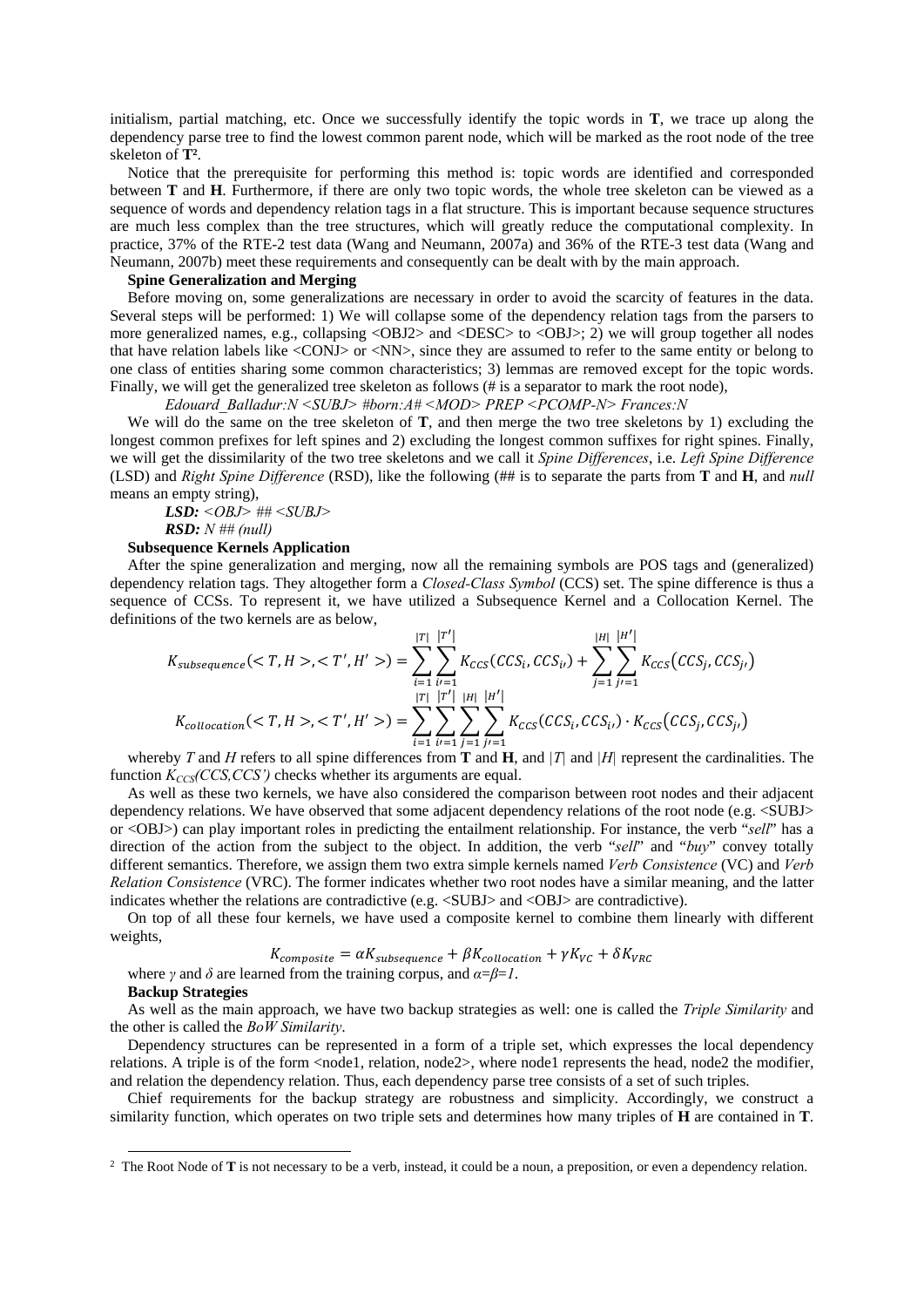initialism, partial matching, etc. Once we successfully identify the topic words in **T**, we trace up along the dependency parse tree to find the lowest common parent node, which will be marked as the root node of the tree skeleton of **T2**.

Notice that the prerequisite for performing this method is: topic words are identified and corresponded between **T** and **H**. Furthermore, if there are only two topic words, the whole tree skeleton can be viewed as a sequence of words and dependency relation tags in a flat structure. This is important because sequence structures are much less complex than the tree structures, which will greatly reduce the computational complexity. In practice, 37% of the RTE-2 test data (Wang and Neumann, 2007a) and 36% of the RTE-3 test data (Wang and Neumann, 2007b) meet these requirements and consequently can be dealt with by the main approach.

# **Spine Generalization and Merging**

Before moving on, some generalizations are necessary in order to avoid the scarcity of features in the data. Several steps will be performed: 1) We will collapse some of the dependency relation tags from the parsers to more generalized names, e.g., collapsing <OBJ2> and <DESC> to <OBJ>; 2) we will group together all nodes that have relation labels like <CONJ> or <NN>, since they are assumed to refer to the same entity or belong to one class of entities sharing some common characteristics; 3) lemmas are removed except for the topic words. Finally, we will get the generalized tree skeleton as follows (# is a separator to mark the root node),

#### *Edouard\_Balladur:N <SUBJ> #born:A# <MOD> PREP <PCOMP-N> Frances:N*

We will do the same on the tree skeleton of **T**, and then merge the two tree skeletons by 1) excluding the longest common prefixes for left spines and 2) excluding the longest common suffixes for right spines. Finally, we will get the dissimilarity of the two tree skeletons and we call it *Spine Differences*, i.e. *Left Spine Difference* (LSD) and *Right Spine Difference* (RSD), like the following (## is to separate the parts from **T** and **H**, and *null* means an empty string),

*LSD: <OBJ> ## <SUBJ>* 

*RSD: N ## (null)* 

#### **Subsequence Kernels Application**

After the spine generalization and merging, now all the remaining symbols are POS tags and (generalized) dependency relation tags. They altogether form a *Closed-Class Symbol* (CCS) set. The spine difference is thus a sequence of CCSs. To represent it, we have utilized a Subsequence Kernel and a Collocation Kernel. The definitions of the two kernels are as below,

$$
K_{subsequence}(,   

$$
K_{collocation}(,
$$
$$

whereby *T* and *H* refers to all spine differences from **T** and **H**, and *|T|* and *|H|* represent the cardinalities. The function  $K_{CC}$  *CCS, CCS'*) checks whether its arguments are equal.

As well as these two kernels, we have also considered the comparison between root nodes and their adjacent dependency relations. We have observed that some adjacent dependency relations of the root node (e.g.  $\leq$ SUBJ> or <OBJ>) can play important roles in predicting the entailment relationship. For instance, the verb "*sell*" has a direction of the action from the subject to the object. In addition, the verb "*sell*" and "*buy*" convey totally different semantics. Therefore, we assign them two extra simple kernels named *Verb Consistence* (VC) and *Verb Relation Consistence* (VRC). The former indicates whether two root nodes have a similar meaning, and the latter indicates whether the relations are contradictive (e.g. <SUBJ> and <OBJ> are contradictive).

On top of all these four kernels, we have used a composite kernel to combine them linearly with different weights,

$$
K_{composite} = \alpha K_{subsequence} + \beta K_{collocation} + \gamma K_{VC} + \delta K_{VRC}
$$
  
where  $\gamma$  and  $\delta$  are learned from the training corpus, and  $\alpha = \beta = 1$ .

#### **Backup Strategies**

As well as the main approach, we have two backup strategies as well: one is called the *Triple Similarity* and the other is called the *BoW Similarity*.

Dependency structures can be represented in a form of a triple set, which expresses the local dependency relations. A triple is of the form  $\leq$  node1, relation, node2 $\geq$ , where node1 represents the head, node2 the modifier, and relation the dependency relation. Thus, each dependency parse tree consists of a set of such triples.

Chief requirements for the backup strategy are robustness and simplicity. Accordingly, we construct a similarity function, which operates on two triple sets and determines how many triples of **H** are contained in **T**.

 <sup>2</sup> The Root Node of **T** is not necessary to be a verb, instead, it could be a noun, a preposition, or even a dependency relation.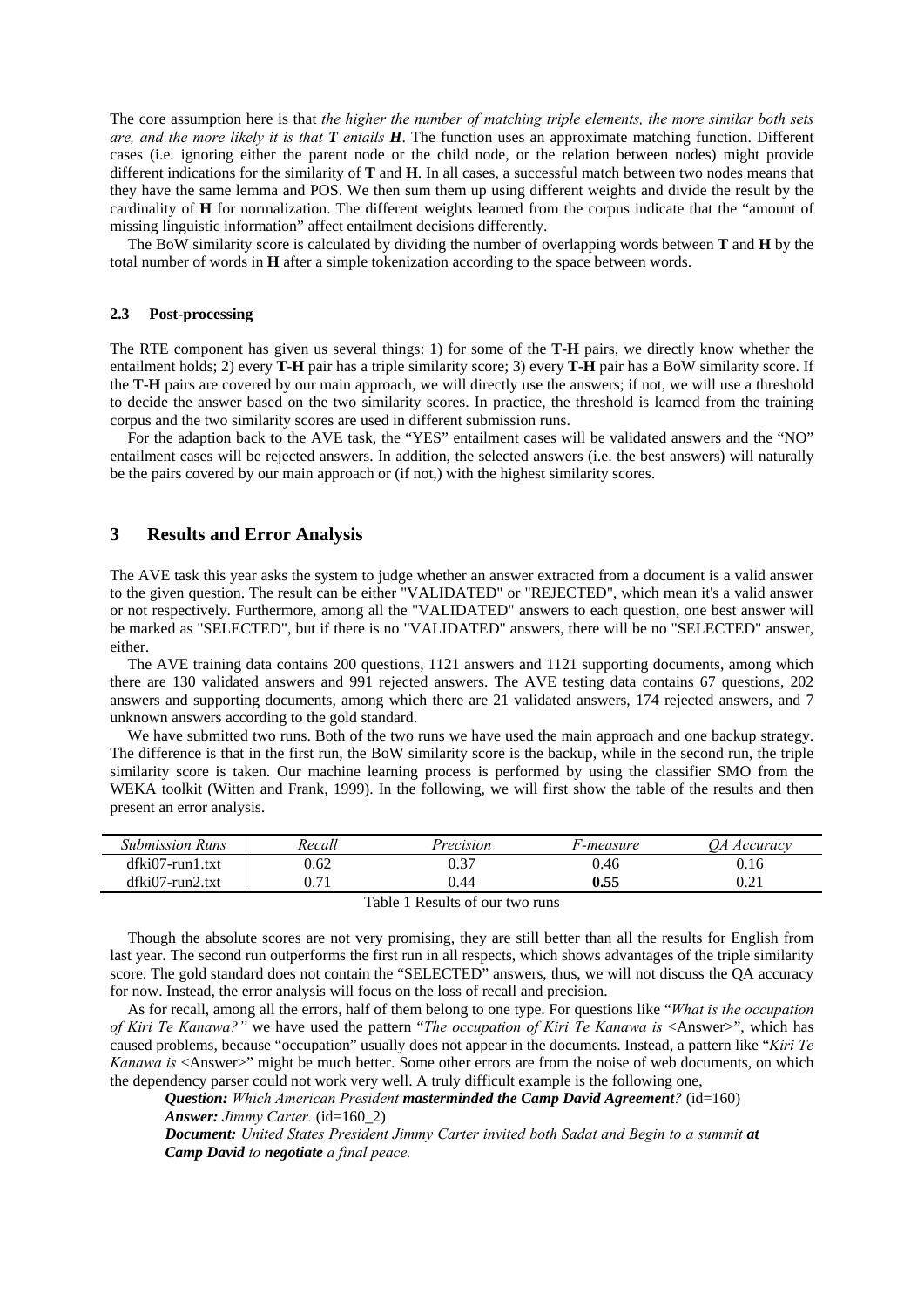The core assumption here is that *the higher the number of matching triple elements, the more similar both sets are, and the more likely it is that T entails H*. The function uses an approximate matching function. Different cases (i.e. ignoring either the parent node or the child node, or the relation between nodes) might provide different indications for the similarity of **T** and **H**. In all cases, a successful match between two nodes means that they have the same lemma and POS. We then sum them up using different weights and divide the result by the cardinality of **H** for normalization. The different weights learned from the corpus indicate that the "amount of missing linguistic information" affect entailment decisions differently.

The BoW similarity score is calculated by dividing the number of overlapping words between **T** and **H** by the total number of words in **H** after a simple tokenization according to the space between words.

#### **2.3 Post-processing**

The RTE component has given us several things: 1) for some of the **T**-**H** pairs, we directly know whether the entailment holds; 2) every **T**-**H** pair has a triple similarity score; 3) every **T**-**H** pair has a BoW similarity score. If the **T**-**H** pairs are covered by our main approach, we will directly use the answers; if not, we will use a threshold to decide the answer based on the two similarity scores. In practice, the threshold is learned from the training corpus and the two similarity scores are used in different submission runs.

For the adaption back to the AVE task, the "YES" entailment cases will be validated answers and the "NO" entailment cases will be rejected answers. In addition, the selected answers (i.e. the best answers) will naturally be the pairs covered by our main approach or (if not,) with the highest similarity scores.

### **3 Results and Error Analysis**

The AVE task this year asks the system to judge whether an answer extracted from a document is a valid answer to the given question. The result can be either "VALIDATED" or "REJECTED", which mean it's a valid answer or not respectively. Furthermore, among all the "VALIDATED" answers to each question, one best answer will be marked as "SELECTED", but if there is no "VALIDATED" answers, there will be no "SELECTED" answer, either.

The AVE training data contains 200 questions, 1121 answers and 1121 supporting documents, among which there are 130 validated answers and 991 rejected answers. The AVE testing data contains 67 questions, 202 answers and supporting documents, among which there are 21 validated answers, 174 rejected answers, and 7 unknown answers according to the gold standard.

We have submitted two runs. Both of the two runs we have used the main approach and one backup strategy. The difference is that in the first run, the BoW similarity score is the backup, while in the second run, the triple similarity score is taken. Our machine learning process is performed by using the classifier SMO from the WEKA toolkit (Witten and Frank, 1999). In the following, we will first show the table of the results and then present an error analysis.

| <b>Submission Runs</b> | Recall | Precision | r-measure | 14<br>Accuracy |
|------------------------|--------|-----------|-----------|----------------|
| dfki07-run1.txt        | 0.62   |           | 0.46      | 0.16           |
| dfki07-run2.txt        | ገ 71   | 44 ١      | 0.55      |                |

Table 1 Results of our two runs

Though the absolute scores are not very promising, they are still better than all the results for English from last year. The second run outperforms the first run in all respects, which shows advantages of the triple similarity score. The gold standard does not contain the "SELECTED" answers, thus, we will not discuss the QA accuracy for now. Instead, the error analysis will focus on the loss of recall and precision.

As for recall, among all the errors, half of them belong to one type. For questions like "*What is the occupation of Kiri Te Kanawa?"* we have used the pattern "*The occupation of Kiri Te Kanawa is* <Answer>", which has caused problems, because "occupation" usually does not appear in the documents. Instead, a pattern like "*Kiri Te Kanawa is* <Answer>" might be much better. Some other errors are from the noise of web documents, on which the dependency parser could not work very well. A truly difficult example is the following one,

*Question: Which American President masterminded the Camp David Agreement?* (id=160) *Answer: Jimmy Carter.* (id=160\_2)

**Document:** United States President Jimmy Carter invited both Sadat and Begin to a summit at *Camp David to negotiate a final peace.*